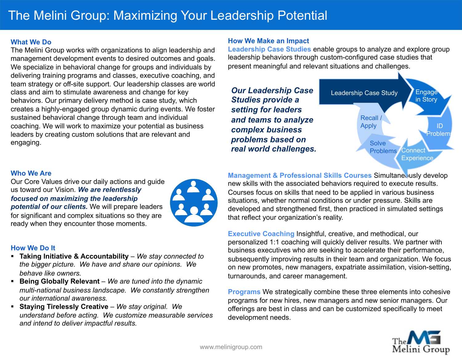### **What We Do**

The Melini Group works with organizations to align leadership and management development events to desired outcomes and goals. We specialize in behavioral change for groups and individuals by delivering training programs and classes, executive coaching, and team strategy or off-site support. Our leadership classes are world class and aim to stimulate awareness and change for key behaviors. Our primary delivery method is case study, which creates a highly-engaged group dynamic during events. We foster sustained behavioral change through team and individual coaching. We will work to maximize your potential as business leaders by creating custom solutions that are relevant and engaging.

### **How We Make an Impact**

**Leadership Case Studies** enable groups to analyze and explore group leadership behaviors through custom-configured case studies that present meaningful and relevant situations and challenges.



## **Who We Are**

Our Core Values drive our daily actions and guide us toward our Vision*. We are relentlessly focused on maximizing the leadership potential of our clients.* We will prepare leaders for significant and complex situations so they are ready when they encounter those moments.



## **How We Do It**

- § **Taking Initiative & Accountability** *We stay connected to the bigger picture. We have and share our opinions. We behave like owners.*
- § **Being Globally Relevant** *We are tuned into the dynamic multi-national business landscape. We constantly strengthen our international awareness.*
- § **Staying Tirelessly Creative** *We stay original. We understand before acting. We customize measurable services and intend to deliver impactful results.*

**Management & Professional Skills Courses Simultane Jusly develop** new skills with the associated behaviors required to execute results. Courses focus on skills that need to be applied in various business situations, whether normal conditions or under pressure. Skills are developed and strengthened first, then practiced in simulated settings that reflect your organization's reality.

**Executive Coaching** Insightful, creative, and methodical, our personalized 1:1 coaching will quickly deliver results. We partner with business executives who are seeking to accelerate their performance, subsequently improving results in their team and organization. We focus on new promotes, new managers, expatriate assimilation, vision-setting, turnarounds, and career management.

**Programs** We strategically combine these three elements into cohesive programs for new hires, new managers and new senior managers. Our offerings are best in class and can be customized specifically to meet development needs.